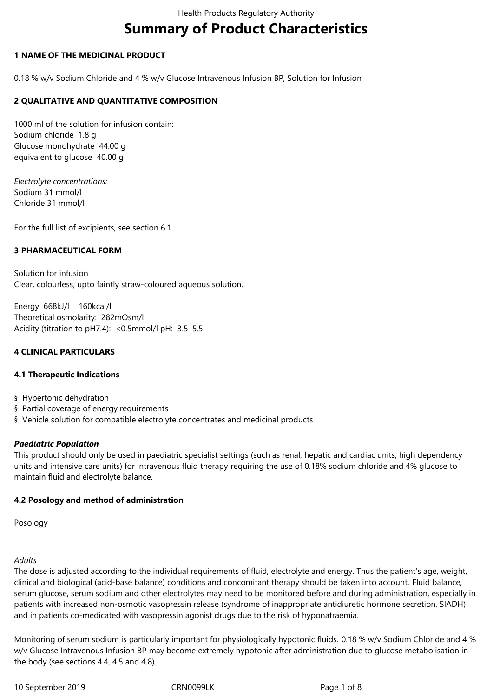# **Summary of Product Characteristics**

# **1 NAME OF THE MEDICINAL PRODUCT**

0.18 % w/v Sodium Chloride and 4 % w/v Glucose Intravenous Infusion BP, Solution for Infusion

# **2 QUALITATIVE AND QUANTITATIVE COMPOSITION**

1000 ml of the solution for infusion contain: Sodium chloride 1.8 g Glucose monohydrate 44.00 g equivalent to glucose 40.00 g

*Electrolyte concentrations:* Sodium≙31≙mmol/l Chloride≙31≙mmol/l

For the full list of excipients, see section 6.1.

# **3 PHARMACEUTICAL FORM**

Solution for infusion Clear, colourless, upto faintly straw-coloured aqueous solution.

Energy 668kJ/l 160kcal/l Theoretical osmolarity: 282mOsm/l Acidity (titration to pH7.4): <0.5mmol/l pH: 3.5–5.5

# **4 CLINICAL PARTICULARS**

#### **4.1 Therapeutic Indications**

§ Hypertonic dehydration

- § Partial coverage of energy requirements
- § Vehicle solution for compatible electrolyte concentrates and medicinal products

#### *Paediatric Population*

This product should only be used in paediatric specialist settings (such as renal, hepatic and cardiac units, high dependency units and intensive care units) for intravenous fluid therapy requiring the use of 0.18% sodium chloride and 4% glucose to maintain fluid and electrolyte balance.

# **4.2 Posology and method of administration**

Posology

#### *Adults*

The dose is adjusted according to the individual requirements of fluid, electrolyte and energy. Thus the patient's age, weight, clinical and biological (acid-base balance) conditions and concomitant therapy should be taken into account. Fluid balance, serum glucose, serum sodium and other electrolytes may need to be monitored before and during administration, especially in patients with increased non-osmotic vasopressin release (syndrome of inappropriate antidiuretic hormone secretion, SIADH) and in patients co-medicated with vasopressin agonist drugs due to the risk of hyponatraemia.

Monitoring of serum sodium is particularly important for physiologically hypotonic fluids. 0.18 % w/v Sodium Chloride and 4 % w/v Glucose Intravenous Infusion BP may become extremely hypotonic after administration due to glucose metabolisation in the body (see sections 4.4, 4.5 and 4.8).

10≙September≙2019 CRN0099LK Page≙1≙of≙8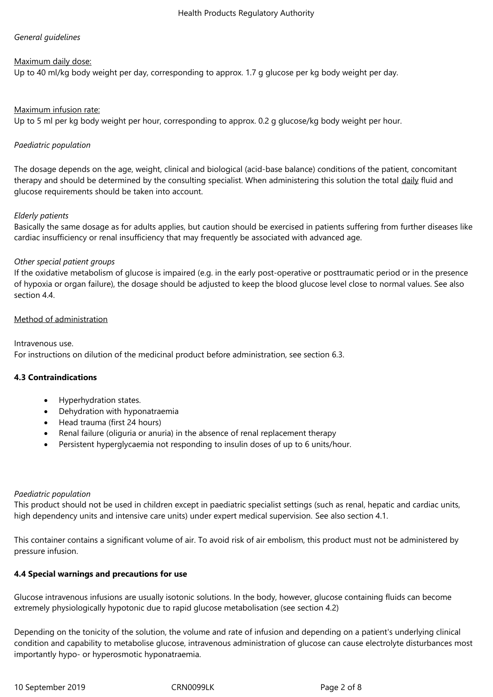# *General guidelines*

# Maximum daily dose:

Up to 40 ml/kg body weight per day, corresponding to approx. 1.7 g glucose per kg body weight per day.

# Maximum infusion rate:

Up to 5 ml per kg body weight per hour, corresponding to approx. 0.2 g glucose/kg body weight per hour.

# *Paediatric population*

The dosage depends on the age, weight, clinical and biological (acid-base balance) conditions of the patient, concomitant therapy and should be determined by the consulting specialist. When administering this solution the total daily fluid and glucose requirements should be taken into account.

# *Elderly patients*

Basically the same dosage as for adults applies, but caution should be exercised in patients suffering from further diseases like cardiac insufficiency or renal insufficiency that may frequently be associated with advanced age.

#### *Other special patient groups*

If the oxidative metabolism of glucose is impaired (e.g. in the early post-operative or posttraumatic period or in the presence of hypoxia or organ failure), the dosage should be adjusted to keep the blood glucose level close to normal values. See also section 4.4.

#### Method of administration

Intravenous use. For instructions on dilution of the medicinal product before administration, see section 6.3.

#### **4.3 Contraindications**

- Hyperhydration states.
- Dehydration with hyponatraemia
- Head trauma (first 24 hours)
- Renal failure (oliguria or anuria) in the absence of renal replacement therapy
- Persistent hyperglycaemia not responding to insulin doses of up to 6 units/hour.

#### *Paediatric population*

This product should not be used in children except≀in paediatric specialist settings (such as renal, hepatic and cardiac units, high dependency units and intensive care units) under expert medical supervision. See also section 4.1.

This container contains a significant volume of air. To avoid risk⊇of air embolism, this product must not be administered by pressure infusion.

# **4.4 Special warnings and precautions for use**

Glucose intravenous infusions are usually isotonic solutions. In the body, however, glucose containing fluids can become extremely physiologically hypotonic due to rapid glucose metabolisation (see section 4.2)

Depending on the tonicity of the solution, the volume and rate⊇of infusion and depending⊇on a patient's underlying clinical condition and capability to metabolise glucose, intravenous administration of glucose can cause electrolyte disturbances most importantly hypo- or hyperosmotic hyponatraemia.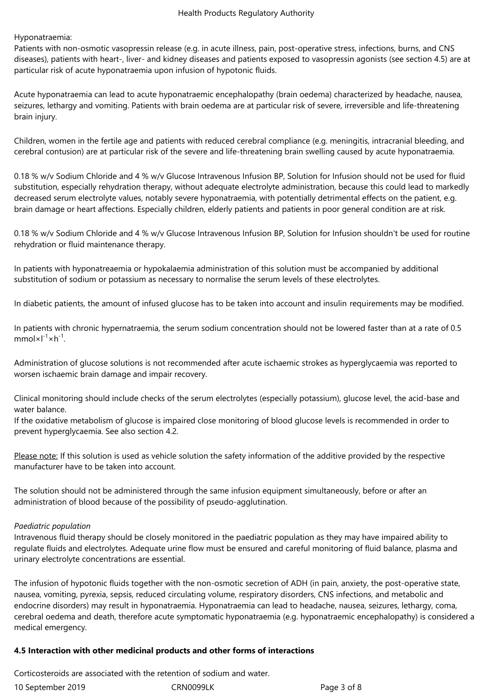Hyponatraemia:

Patients with non-osmotic vasopressin release (e.g. in acute illness, pain, post-operative stress, infections, burns, and CNS diseases), patients with heart-, liver- and kidney diseases and patients exposed to vasopressin agonists (see section 4.5) are at particular risk of acute hyponatraemia upon infusion of hypotonic fluids.

Acute hyponatraemia can lead to acute hyponatraemic encephalopathy (brain oedema) characterized by headache, nausea, seizures, lethargy and vomiting. Patients with brain oedema are at particular risk of severe, irreversible and life-threatening brain injury.

Children, women in the fertile age and patients with reduced cerebral compliance (e.g. meningitis, intracranial bleeding, and cerebral contusion) are at particular risk of the severe and life-threatening brain swelling caused by acute hyponatraemia.

0.18 % w/v Sodium Chloride and 4 % w/v Glucose Intravenous Infusion BP, Solution for Infusion should not be used for fluid substitution, especially rehydration therapy, without adequate electrolyte administration, because this could lead to markedly decreased serum electrolyte values, notably severe hyponatraemia, with potentially detrimental effects on the patient, e.g. brain damage or heart affections. Especially children, elderly patients and patients in poor general condition are at risk.

0.18 % w/v Sodium Chloride and 4 % w/v Glucose Intravenous Infusion BP, Solution for Infusion shouldn't be used for routine rehydration or fluid maintenance therapy.

In patients with hyponatreaemia or hypokalaemia administration of this solution must∟be accompanied by additional substitution of sodium or potassium as necessary to normalise the serum levels of these electrolytes.

In diabetic patients, the amount of infused glucose has to be≀taken into account and insulin requirements may be modified.

In patients with chronic hypernatraemia, the serum sodium concentration should not be lowered faster than at a rate of 0.5  $mm$ ol $\times$ l $^{-1}\times$ h $^{-1}$ .

Administration of glucose solutions is not recommended after acute ischaemic strokes as hyperglycaemia was reported to worsen ischaemic brain damage and impair recovery.

Clinical monitoring should include checks of the serum electrolytes (especially potassium), glucose level, the acid-base and water balance.

If the oxidative metabolism of glucose is impaired close monitoring of blood glucose levels is recommended in order to prevent hyperglycaemia. See also section 4.2.

Please note: If this solution is used as vehicle solution the safety information of the additive provided by the respective manufacturer have to be taken into account.

The solution should not be administered through the same≟infusion equipment simultaneously, before or after an administration of blood because of the possibility of pseudo-agglutination.

#### *Paediatric population*

Intravenous fluid therapy should be closely monitored in the paediatric population as they may have impaired ability to regulate fluids and electrolytes. Adequate urine flow must be ensured and careful monitoring of fluid balance, plasma and urinary electrolyte concentrations are essential.

The infusion of hypotonic fluids together with the non-osmotic secretion of ADH (in pain, anxiety, the post-operative state, nausea, vomiting, pyrexia, sepsis, reduced circulating volume, respiratory disorders, CNS infections, and metabolic and endocrine disorders) may result in hyponatraemia. Hyponatraemia can lead to headache, nausea, seizures, lethargy, coma, cerebral oedema and death, therefore acute symptomatic hyponatraemia (e.g. hyponatraemic encephalopathy) is considered a medical emergency.

#### **4.5 Interaction with other medicinal products and other forms of interactions**

10≙September≙2019 CRN0099LK Page≙3≙of≙8 Corticosteroids are associated with the retention of sodium and water.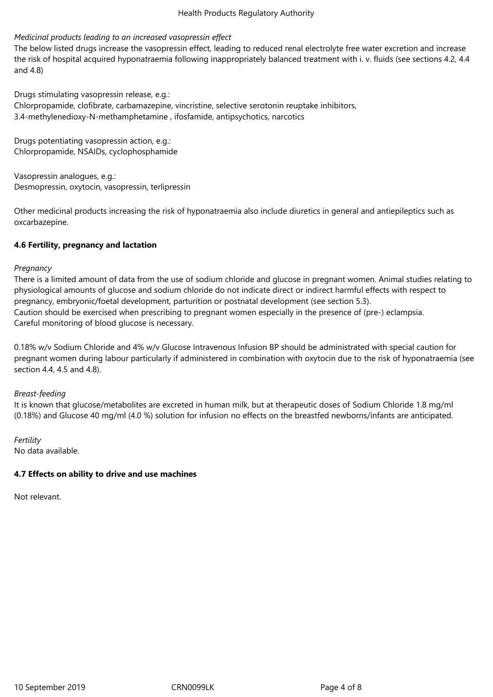#### Health Products Regulatory Authority

#### *Medicinal products leading to an increased vasopressin effect*

The below listed drugs increase the vasopressin effect, leading to reduced renal electrolyte free water excretion and increase the risk of hospital acquired hyponatraemia following inappropriately balanced treatment with i. v. fluids (see sections 4.2, 4.4 and≙4.8)

Drugs stimulating vasopressin release, e.g.: Chlorpropamide, clofibrate, carbamazepine, vincristine, selective serotonin reuptake inhibitors, 3.4-methylenedioxy-N-methamphetamine, ifosfamide, antipsychotics, narcotics

Drugs potentiating vasopressin action, e.g.: Chlorpropamide,≙NSAIDs,≙cyclophosphamide

Vasopressin analogues, e.g.: Desmopressin, oxytocin, vasopressin, terlipressin

Other medicinal products increasing the risk of hyponatraemia also include diuretics≟in general and antiepileptics such as oxcarbazepine.

# **4.6 Fertility, pregnancy and lactation**

#### *Pregnancy*

There is a limited amount of data from the use of sodium chloride and glucose in pregnant women. Animal studies relating to physiological amounts of glucose and sodium chloride do not indicate direct∠or≀indirect harmful effects with respect to pregnancy, embryonic/foetal development, parturition or postnatal development (see section 5.3). Caution should be exercised when prescribing to pregnant women especially in the presence of (pre-) eclampsia. Careful monitoring of blood glucose is necessary.

0.18% w/v Sodium Chloride and 4% w/v Glucose Intravenous Infusion BP should be administrated with special caution for pregnant women during labour particularly if administered in combination with∠oxytocin due to the risk of hyponatraemia (see section 4.4, 4.5 and 4.8).

*Breast-feeding*

It is known that glucose/metabolites are excreted in human milk, but at therapeutic doses of Sodium Chloride 1.8 mg/ml (0.18%) and Glucose 40 mg/ml (4.0 %) solution for infusion no effects on the breastfed newborns/infants are anticipated.

*Fertility* No data available.

#### **4.7 Effects on ability to drive and use machines**

Not relevant.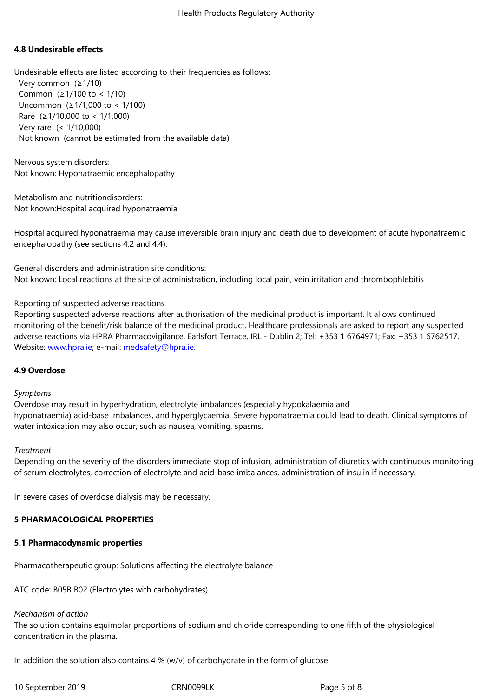#### **4.8 Undesirable effects**

Undesirable effects are listed according to their frequencies as follows: Very common (≥1/10) Common  $(≥1/100$  to < 1/10) Uncommon  $(≥1/1,000$  to < 1/100) Rare  $(≥1/10,000$  to < 1/1,000) Very rare (< 1/10,000) Not known (cannot be estimated from the available data)

Nervous system disorders: Not known: Hyponatraemic encephalopathy

Metabolism and nutritiondisorders: Not known:Hospital acquired hyponatraemia

Hospital acquired hyponatraemia may cause irreversible brain injury and death due to development of acute hyponatraemic encephalopathy (see sections 4.2 and 4.4).

General disorders and administration site conditions: Not known: Local reactions at the site⊇of administration, including local pain, vein irritation and thrombophlebitis

# Reporting of suspected adverse reactions

Reporting suspected adverse reactions after authorisation of the medicinal product is important. It allows continued monitoring of the benefit/risk balance of the medicinal product. Healthcare professionals are asked to report any suspected adverse reactions via HPRA Pharmacovigilance, Earlsfort Terrace, IRL - Dublin 2; Tel: +353 1 6764971; Fax: +353 1 6762517. Website: www.hpra.ie; e-mail: medsafety@hpra.ie.

#### **4.9 Overdose**

#### *Sympto[ms](http://www.hpra.ie/)*

Overdose may result in hyperhydration, electrolyte imbalances (especially hypokalaemia and hyponatraemia) acid-base imbalances, and hyperglycaemia. Severe hyponatraemia could lead to death. Clinical symptoms of water intoxication may also occur, such as nausea, vomiting, spasms.

#### *Treatment*

Depending on the severity of the disorders≀immediate stop of infusion, administration≀of diuretics with continuous monitoring of serum electrolytes, correction of electrolyte and acid-base imbalances, administration of insulin≀if necessary.

In severe cases of overdose dialysis may be necessary.

#### **5 PHARMACOLOGICAL PROPERTIES**

#### **5.1 Pharmacodynamic properties**

Pharmacotherapeutic group: Solutions affecting the electrolyte balance

ATC code: B05B B02 (Electrolytes with carbohydrates)

#### *Mechanism of action*

The solution contains equimolar proportions of sodium and chloride corresponding to one fifth∠of the physiological concentration in the plasma.

In addition the solution also contains 4 % (w/v) of carbohydrate in the form of glucose.

10 September 2019 CRN0099LK Page 5 of 8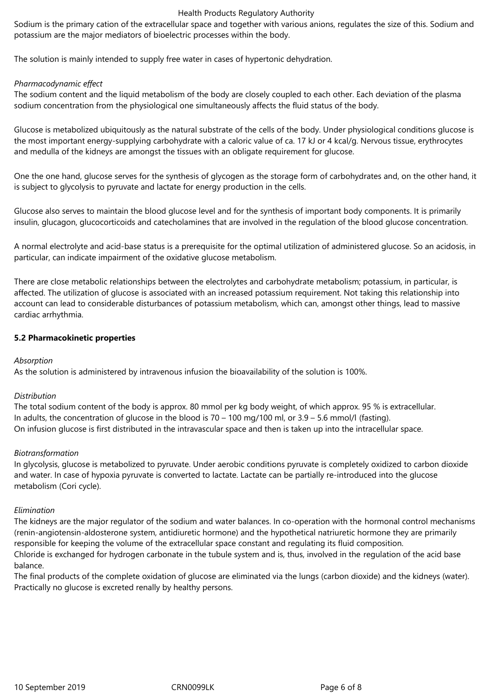#### Health Products Regulatory Authority

Sodium is the primary cation of the extracellular space and together with∠various anions, regulates the size of this. Sodium and potassium are the major mediators of bioelectric processes within the body.

The solution is mainly intended to supply free water≟in cases of hypertonic dehydration.

#### *Pharmacodynamic effect*

The sodium content and the liquid metabolism of the body are closely coupled to each other. Each deviation of the plasma sodium concentration from the physiological one simultaneously affects the fluid status of the body.

Glucose is metabolized ubiquitously as the natural substrate of the cells of the body. Under physiological conditions glucose is the most important energy-supplying carbohydrate with a caloric value of ca. 17 kJ or 4 kcal/g. Nervous tissue, erythrocytes and medulla of the kidneys are amongst the tissues with an obligate requirement for glucose.

One the one hand, glucose serves for the synthesis of glycogen as the storage form of carbohydrates and, on the other hand, it is subject to glycolysis to pyruvate and lactate for energy production in the cells.

Glucose also serves to maintain the blood glucose level and for the synthesis of important body components. It is primarily insulin, glucagon, glucocorticoids and catecholamines that are involved in the regulation of the blood glucose concentration.

A normal electrolyte and acid-base status is a prerequisite for the optimal utilization of administered glucose. So an acidosis, in particular, can indicate impairment of the oxidative glucose metabolism.

There are close metabolic relationships between the electrolytes and carbohydrate metabolism; potassium, in particular, is affected. The utilization of glucose is associated with an increased potassium requirement. Not taking this relationship into account can lead to considerable disturbances of potassium metabolism, which∠can, amongst≀other things, lead to massive cardiac arrhythmia.

# **5.2 Pharmacokinetic properties**

#### *Absorption*

As the solution is administered by intravenous infusion the bioavailability of the solution is 100%.

#### *Distribution*

The total sodium content of the body is approx. 80 mmol per kg body weight, of which approx. 95 % is extracellular. In adults, the concentration of glucose in the blood is 70 – 100 mg/100 ml, or 3.9 – 5.6 mmol/l (fasting). On infusion glucose is first distributed in the intravascular space and then is taken up into the intracellular space.

#### *Biotransformation*

In glycolysis, glucose is metabolized to pyruvate. Under aerobic conditions pyruvate≟is completely oxidized to carbon dioxide and water. In case of hypoxia pyruvate is converted to lactate. Lactate can be partially re-introduced into the glucose metabolism (Cori cycle).

#### *Elimination*

The kidneys are the major regulator of the sodium and water balances. In co-operation with the hormonal control mechanisms (renin-angiotensin-aldosterone system, antidiuretic hormone) and the hypothetical natriuretic hormone they are primarily responsible for keeping the volume of the extracellular space constant and regulating its fluid composition.

Chloride is exchanged for hydrogen carbonate≀in the tubule system and is, thus, involved≟in the regulation of the acid base balance.

The final products of the complete oxidation of glucose are eliminated≀via the lungs (carbon dioxide) and the kidneys (water). Practically no glucose is excreted renally by healthy persons.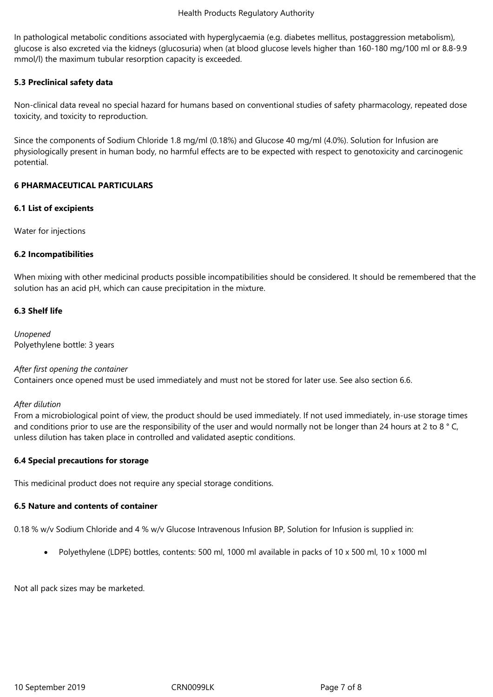In pathological metabolic conditions associated with hyperglycaemia (e.g. diabetes mellitus, postaggression metabolism), glucose is also excreted via the kidneys (glucosuria) when (at blood glucose levels higher than 160-180 mg/100 ml or 8.8-9.9 mmol/l) the maximum tubular resorption capacity is exceeded.

# **5.3 Preclinical safety data**

Non-clinical data reveal no special hazard for humans based on conventional studies of safety pharmacology, repeated dose toxicity, and toxicity to reproduction.

Since the components of Sodium Chloride 1.8 mg/ml (0.18%) and Glucose 40 mg/ml (4.0%). Solution for Infusion are physiologically present in human body, no harmful effects are to be expected with respect to genotoxicity and carcinogenic potential.

#### **6 PHARMACEUTICAL PARTICULARS**

# **6.1 List of excipients**

Water for injections

# **6.2 Incompatibilities**

When mixing with other medicinal products possible incompatibilities should be considered. It should be remembered that the solution has an acid pH, which can cause precipitation in the mixture.

# **6.3 Shelf life**

*Unopened* Polyethylene bottle: 3 years

#### *After first opening the container*

Containers once opened must be used immediately and must not be stored for later use. See also section 6.6.

#### *After dilution*

From a microbiological point of view, the product should be used immediately. If not used immediately, in-use storage times and conditions prior to use are the responsibility of the user and would normally not be longer than 24 hours at 2 to 8 °C, unless dilution has taken place in controlled and validated aseptic conditions.

#### **6.4 Special precautions for storage**

This medicinal product does not require any special storage conditions.

#### **6.5 Nature and contents of container**

0.18 % w/v Sodium Chloride and 4 % w/v Glucose Intravenous Infusion BP, Solution for Infusion is supplied in:

• Polyethylene (LDPE) bottles, contents: 500 ml, 1000 ml available in packs of 10 x 500 ml, 10 x 1000 ml

Not all pack sizes may be marketed.